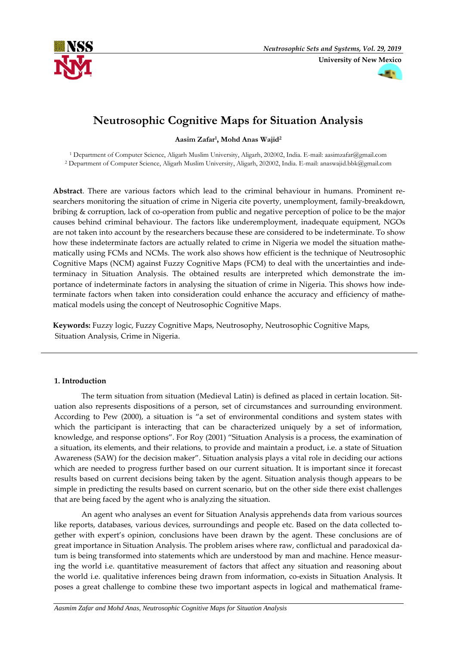



# **Neutrosophic Cognitive Maps for Situation Analysis**

**Aasim Zafar<sup>1</sup> , Mohd Anas Wajid<sup>2</sup>**

<sup>1</sup> Department of Computer Science, Aligarh Muslim University, Aligarh, 202002, India. E-mail: aasimzafar@gmail.com <sup>2</sup> Department of Computer Science, Aligarh Muslim University, Aligarh, 202002, India. E-mail: anaswajid.bbk@gmail.com

**Abstract**. There are various factors which lead to the criminal behaviour in humans. Prominent researchers monitoring the situation of crime in Nigeria cite poverty, unemployment, family-breakdown, bribing & corruption, lack of co-operation from public and negative perception of police to be the major causes behind criminal behaviour. The factors like underemployment, inadequate equipment, NGOs are not taken into account by the researchers because these are considered to be indeterminate. To show how these indeterminate factors are actually related to crime in Nigeria we model the situation mathematically using FCMs and NCMs. The work also shows how efficient is the technique of Neutrosophic Cognitive Maps (NCM) against Fuzzy Cognitive Maps (FCM) to deal with the uncertainties and indeterminacy in Situation Analysis. The obtained results are interpreted which demonstrate the importance of indeterminate factors in analysing the situation of crime in Nigeria. This shows how indeterminate factors when taken into consideration could enhance the accuracy and efficiency of mathematical models using the concept of Neutrosophic Cognitive Maps.

**Keywords:** Fuzzy logic, Fuzzy Cognitive Maps, Neutrosophy, Neutrosophic Cognitive Maps, Situation Analysis, Crime in Nigeria.

# **1. Introduction**

The term situation from situation (Medieval Latin) is defined as placed in certain location. Situation also represents dispositions of a person, set of circumstances and surrounding environment. According to Pew (2000), a situation is "a set of environmental conditions and system states with which the participant is interacting that can be characterized uniquely by a set of information, knowledge, and response options". For Roy (2001) "Situation Analysis is a process, the examination of a situation, its elements, and their relations, to provide and maintain a product, i.e. a state of Situation Awareness (SAW) for the decision maker". Situation analysis plays a vital role in deciding our actions which are needed to progress further based on our current situation. It is important since it forecast results based on current decisions being taken by the agent. Situation analysis though appears to be simple in predicting the results based on current scenario, but on the other side there exist challenges that are being faced by the agent who is analyzing the situation.

An agent who analyses an event for Situation Analysis apprehends data from various sources like reports, databases, various devices, surroundings and people etc. Based on the data collected together with expert's opinion, conclusions have been drawn by the agent. These conclusions are of great importance in Situation Analysis. The problem arises where raw, conflictual and paradoxical datum is being transformed into statements which are understood by man and machine. Hence measuring the world i.e. quantitative measurement of factors that affect any situation and reasoning about the world i.e. qualitative inferences being drawn from information, co-exists in Situation Analysis. It poses a great challenge to combine these two important aspects in logical and mathematical frame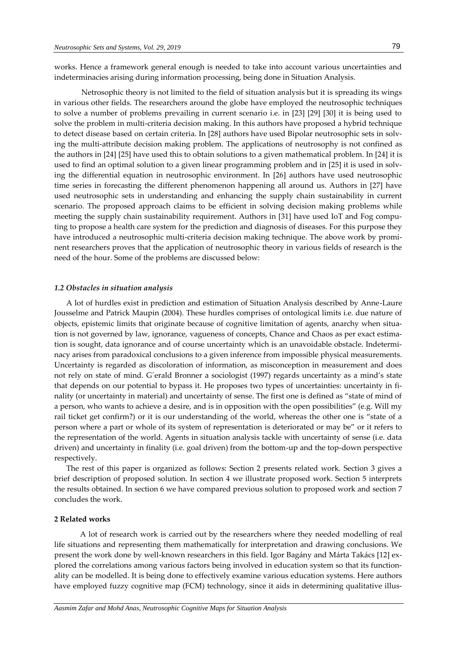works. Hence a framework general enough is needed to take into account various uncertainties and indeterminacies arising during information processing, being done in Situation Analysis.

Netrosophic theory is not limited to the field of situation analysis but it is spreading its wings in various other fields. The researchers around the globe have employed the neutrosophic techniques to solve a number of problems prevailing in current scenario i.e. in [23] [29] [30] it is being used to solve the problem in multi-criteria decision making. In this authors have proposed a hybrid technique to detect disease based on certain criteria. In [28] authors have used Bipolar neutrosophic sets in solving the multi-attribute decision making problem. The applications of neutrosophy is not confined as the authors in [24] [25] have used this to obtain solutions to a given mathematical problem. In [24] it is used to find an optimal solution to a given linear programming problem and in [25] it is used in solving the differential equation in neutrosophic environment. In [26] authors have used neutrosophic time series in forecasting the different phenomenon happening all around us. Authors in [27] have used neutrosophic sets in understanding and enhancing the supply chain sustainability in current scenario. The proposed approach claims to be efficient in solving decision making problems while meeting the supply chain sustainability requirement. Authors in [31] have used IoT and Fog computing to propose a health care system for the prediction and diagnosis of diseases. For this purpose they have introduced a neutrosophic multi-criteria decision making technique. The above work by prominent researchers proves that the application of neutrosophic theory in various fields of research is the need of the hour. Some of the problems are discussed below:

#### *1.2 Obstacles in situation analysis*

A lot of hurdles exist in prediction and estimation of Situation Analysis described by Anne-Laure Jousselme and Patrick Maupin (2004). These hurdles comprises of ontological limits i.e. due nature of objects, epistemic limits that originate because of cognitive limitation of agents, anarchy when situation is not governed by law, ignorance, vagueness of concepts, Chance and Chaos as per exact estimation is sought, data ignorance and of course uncertainty which is an unavoidable obstacle. Indeterminacy arises from paradoxical conclusions to a given inference from impossible physical measurements. Uncertainty is regarded as discoloration of information, as misconception in measurement and does not rely on state of mind. G´erald Bronner a sociologist (1997) regards uncertainty as a mind's state that depends on our potential to bypass it. He proposes two types of uncertainties: uncertainty in finality (or uncertainty in material) and uncertainty of sense. The first one is defined as "state of mind of a person, who wants to achieve a desire, and is in opposition with the open possibilities" (e.g. Will my rail ticket get confirm?) or it is our understanding of the world, whereas the other one is "state of a person where a part or whole of its system of representation is deteriorated or may be" or it refers to the representation of the world. Agents in situation analysis tackle with uncertainty of sense (i.e. data driven) and uncertainty in finality (i.e. goal driven) from the bottom-up and the top-down perspective respectively.

The rest of this paper is organized as follows: Section 2 presents related work. Section 3 gives a brief description of proposed solution. In section 4 we illustrate proposed work. Section 5 interprets the results obtained. In section 6 we have compared previous solution to proposed work and section 7 concludes the work.

#### **2 Related works**

 A lot of research work is carried out by the researchers where they needed modelling of real life situations and representing them mathematically for interpretation and drawing conclusions. We present the work done by well-known researchers in this field. Igor Bagány and Márta Takács [12] explored the correlations among various factors being involved in education system so that its functionality can be modelled. It is being done to effectively examine various education systems. Here authors have employed fuzzy cognitive map (FCM) technology, since it aids in determining qualitative illus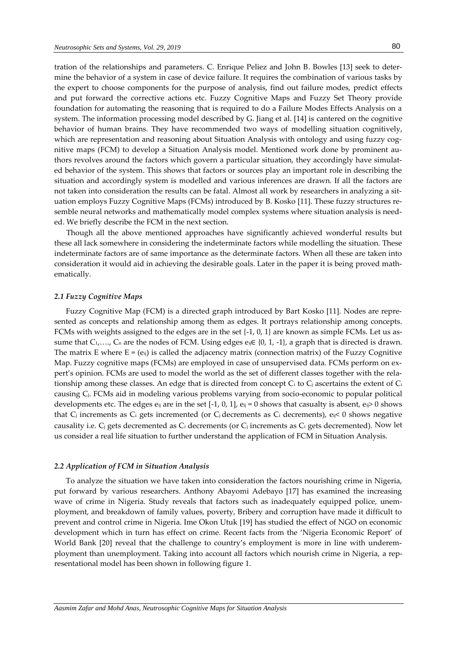tration of the relationships and parameters. C. Enrique Peliez and John B. Bowles [13] seek to determine the behavior of a system in case of device failure. It requires the combination of various tasks by the expert to choose components for the purpose of analysis, find out failure modes, predict effects and put forward the corrective actions etc. Fuzzy Cognitive Maps and Fuzzy Set Theory provide foundation for automating the reasoning that is required to do a Failure Modes Effects Analysis on a system. The information processing model described by G. Jiang et al. [14] is cantered on the cognitive behavior of human brains. They have recommended two ways of modelling situation cognitively, which are representation and reasoning about Situation Analysis with ontology and using fuzzy cognitive maps (FCM) to develop a Situation Analysis model. Mentioned work done by prominent authors revolves around the factors which govern a particular situation, they accordingly have simulated behavior of the system. This shows that factors or sources play an important role in describing the situation and accordingly system is modelled and various inferences are drawn. If all the factors are not taken into consideration the results can be fatal. Almost all work by researchers in analyzing a situation employs Fuzzy Cognitive Maps (FCMs) introduced by B. Kosko [11]. These fuzzy structures resemble neural networks and mathematically model complex systems where situation analysis is needed. We briefly describe the FCM in the next section.

Though all the above mentioned approaches have significantly achieved wonderful results but these all lack somewhere in considering the indeterminate factors while modelling the situation. These indeterminate factors are of same importance as the determinate factors. When all these are taken into consideration it would aid in achieving the desirable goals. Later in the paper it is being proved mathematically.

#### *2.1 Fuzzy Cognitive Maps*

 Fuzzy Cognitive Map (FCM) is a directed graph introduced by Bart Kosko [11]. Nodes are represented as concepts and relationship among them as edges. It portrays relationship among concepts. FCMs with weights assigned to the edges are in the set {-1, 0, 1} are known as simple FCMs. Let us assume that C<sub>1</sub>,…., C<sub>n</sub> are the nodes of FCM. Using edges e<sub>ij</sub>∈ {0, 1, -1}, a graph that is directed is drawn. The matrix E where  $E = (e_{ij})$  is called the adjacency matrix (connection matrix) of the Fuzzy Cognitive Map. Fuzzy cognitive maps (FCMs) are employed in case of unsupervised data. FCMs perform on expert's opinion. FCMs are used to model the world as the set of different classes together with the relationship among these classes. An edge that is directed from concept  $C_i$  to  $C_j$  ascertains the extent of  $C_i$ causing Cj. FCMs aid in modeling various problems varying from socio-economic to popular political developments etc. The edges  $e_{ij}$  are in the set [-1, 0, 1],  $e_{ij} = 0$  shows that casualty is absent,  $e_{ij} > 0$  shows that C<sub>j</sub> increments as C<sub>i</sub> gets incremented (or C<sub>j</sub> decrements as C<sub>i</sub> decrements), e<sub>ij</sub>< 0 shows negative causality i.e.  $C_i$  gets decremented as  $C_i$  decrements (or  $C_i$  increments as  $C_i$  gets decremented). Now let us consider a real life situation to further understand the application of FCM in Situation Analysis.

#### *2.2 Application of FCM in Situation Analysis*

 To analyze the situation we have taken into consideration the factors nourishing crime in Nigeria, put forward by various researchers. Anthony Abayomi Adebayo [17] has examined the increasing wave of crime in Nigeria. Study reveals that factors such as inadequately equipped police, unemployment, and breakdown of family values, poverty, Bribery and corruption have made it difficult to prevent and control crime in Nigeria. Ime Okon Utuk [19] has studied the effect of NGO on economic development which in turn has effect on crime. Recent facts from the 'Nigeria Economic Report' of World Bank [20] reveal that the challenge to country's employment is more in line with underemployment than unemployment. Taking into account all factors which nourish crime in Nigeria, a representational model has been shown in following figure 1.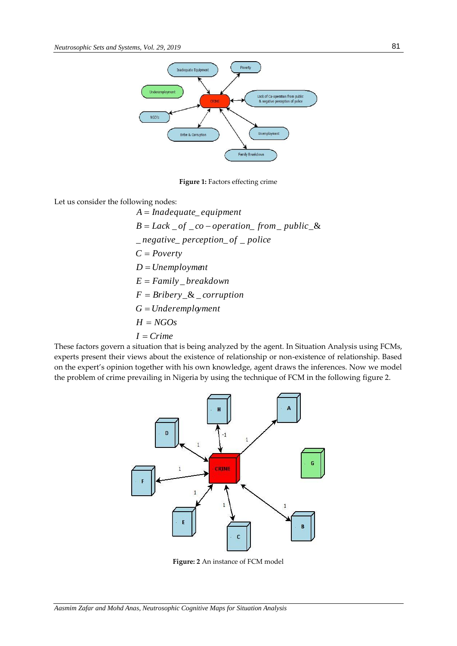

**Figure 1: Factors effecting crime** 

Let us consider the following nodes:

*I Crime H NGOs G Underemployment*  $F = Bribery \& \_ corruption$ *E Family breakdown* \_ *D Unemployment C Poverty*  $\Box$  *negative*  $\Box$  *perception*  $\Box$  *of*  $\Box$  *police*  $B = Lack \ of \ \_ co-operation \_ from \ \ public \ \&$ A = Inadequate\_equipment

These factors govern a situation that is being analyzed by the agent. In Situation Analysis using FCMs, experts present their views about the existence of relationship or non-existence of relationship. Based on the expert's opinion together with his own knowledge, agent draws the inferences. Now we model the problem of crime prevailing in Nigeria by using the technique of FCM in the following figure 2.



**Figure: 2** An instance of FCM model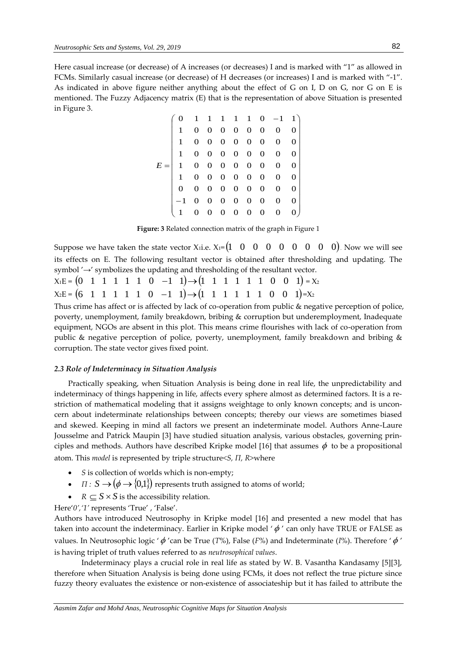Here casual increase (or decrease) of A increases (or decreases) I and is marked with "1" as allowed in FCMs. Similarly casual increase (or decrease) of H decreases (or increases) I and is marked with "-1". As indicated in above figure neither anything about the effect of G on I, D on G, nor G on E is mentioned. The Fuzzy Adjacency matrix (E) that is the representation of above Situation is presented in Figure 3.

|  |  |  |  | $0 \quad 1 \quad 1 \quad 1 \quad 1 \quad 1 \quad 0 \quad -1 \quad 1)$  |  |
|--|--|--|--|------------------------------------------------------------------------|--|
|  |  |  |  | $1 \t0 \t0 \t0 \t0 \t0 \t0 \t0 \t0$                                    |  |
|  |  |  |  | $1 \t0 \t0 \t0 \t0 \t0 \t0 \t0 \t0$                                    |  |
|  |  |  |  | $1 \t 0 \t 0 \t 0 \t 0 \t 0 \t 0 \t 0 \t 0$                            |  |
|  |  |  |  | $E = \begin{bmatrix} 1 & 0 & 0 & 0 & 0 & 0 & 0 & 0 & 0 \end{bmatrix}$  |  |
|  |  |  |  | $1 \t0 \t0 \t0 \t0 \t0 \t0 \t0 \t0$                                    |  |
|  |  |  |  | $0 \t 0 \t 0 \t 0 \t 0 \t 0 \t 0 \t 0 \t 0$                            |  |
|  |  |  |  | $\begin{vmatrix} -1 & 0 & 0 & 0 & 0 & 0 & 0 & 0 & 0 \end{vmatrix}$     |  |
|  |  |  |  | $\begin{array}{ccccccccc}\n0 & 0 & 0 & 0 & 0 & 0 & 0 & 0\n\end{array}$ |  |

**Figure: 3** Related connection matrix of the graph in Figure 1

Suppose we have taken the state vector X<sub>1</sub> i.e.  $X_1 = \begin{pmatrix} 1 & 0 & 0 & 0 & 0 & 0 & 0 & 0 & 0 \end{pmatrix}$ . Now we will see its effects on E. The following resultant vector is obtained after thresholding and updating. The symbol '→' symbolizes the updating and thresholding of the resultant vector.

 $X_1E = \begin{pmatrix} 0 & 1 & 1 & 1 & 1 & 1 & 0 & -1 & 1 \end{pmatrix} \rightarrow \begin{pmatrix} 1 & 1 & 1 & 1 & 1 & 1 & 1 & 0 & 0 & 1 \end{pmatrix} = X_2$  $X_2E = (6 \quad 1 \quad 1 \quad 1 \quad 1 \quad 1 \quad 0 \quad -1 \quad 1) \rightarrow (1 \quad 1 \quad 1 \quad 1 \quad 1 \quad 1 \quad 0 \quad 0 \quad 1) = X_2$ 

Thus crime has affect or is affected by lack of co-operation from public & negative perception of police, poverty, unemployment, family breakdown, bribing & corruption but underemployment, Inadequate equipment, NGOs are absent in this plot. This means crime flourishes with lack of co-operation from public & negative perception of police, poverty, unemployment, family breakdown and bribing & corruption. The state vector gives fixed point.

#### *2.3 Role of Indeterminacy in Situation Analysis*

Practically speaking, when Situation Analysis is being done in real life, the unpredictability and indeterminacy of things happening in life, affects every sphere almost as determined factors. It is a restriction of mathematical modeling that it assigns weightage to only known concepts; and is unconcern about indeterminate relationships between concepts; thereby our views are sometimes biased and skewed. Keeping in mind all factors we present an indeterminate model. Authors Anne-Laure Jousselme and Patrick Maupin [3] have studied situation analysis, various obstacles, governing principles and methods. Authors have described Kripke model [16] that assumes  $\phi$  to be a propositional atom. This *model* is represented by triple structure*<S, Π, R>*where

- *S* is collection of worlds which is non-empty;
- $I: S \rightarrow (\phi \rightarrow \{0,1\})$  represents truth assigned to atoms of world;
- $R \subseteq S \times S$  is the accessibility relation.

Here'*0','1'* represents 'True' , 'False'.

Authors have introduced Neutrosophy in Kripke model [16] and presented a new model that has taken into account the indeterminacy. Earlier in Kripke model  $'\phi'$  can only have TRUE or FALSE as values. In Neutrosophic logic '  $\phi$  'can be True (*T*%), False (*F*%) and Indeterminate (*I*%). Therefore '  $\phi$  ' is having triplet of truth values referred to as *neutrosophical values*.

Indeterminacy plays a crucial role in real life as stated by W. B. Vasantha Kandasamy [5][3], therefore when Situation Analysis is being done using FCMs, it does not reflect the true picture since fuzzy theory evaluates the existence or non-existence of associateship but it has failed to attribute the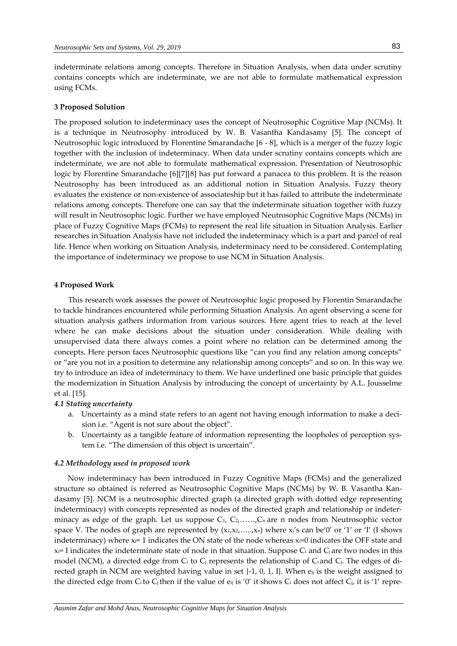indeterminate relations among concepts. Therefore in Situation Analysis, when data under scrutiny contains concepts which are indeterminate, we are not able to formulate mathematical expression using FCMs.

#### **3 Proposed Solution**

The proposed solution to indeterminacy uses the concept of Neutrosophic Cognitive Map (NCMs). It is a technique in Neutrosophy introduced by W. B. Vasantha Kandasamy [5]. The concept of Neutrosophic logic introduced by Florentine Smarandache [6 - 8], which is a merger of the fuzzy logic together with the inclusion of indeterminacy. When data under scrutiny contains concepts which are indeterminate, we are not able to formulate mathematical expression. Presentation of Neutrosophic logic by Florentine Smarandache [6][7][8] has put forward a panacea to this problem. It is the reason Neutrosophy has been introduced as an additional notion in Situation Analysis. Fuzzy theory evaluates the existence or non-existence of associateship but it has failed to attribute the indeterminate relations among concepts. Therefore one can say that the indeterminate situation together with fuzzy will result in Neutrosophic logic. Further we have employed Neutrosophic Cognitive Maps (NCMs) in place of Fuzzy Cognitive Maps (FCMs) to represent the real life situation in Situation Analysis. Earlier researches in Situation Analysis have not included the indeterminacy which is a part and parcel of real life. Hence when working on Situation Analysis, indeterminacy need to be considered. Contemplating the importance of indeterminacy we propose to use NCM in Situation Analysis.

#### **4 Proposed Work**

This research work assesses the power of Neutrosophic logic proposed by Florentin Smarandache to tackle hindrances encountered while performing Situation Analysis. An agent observing a scene for situation analysis gathers information from various sources. Here agent tries to reach at the level where he can make decisions about the situation under consideration*.* While dealing with unsupervised data there always comes a point where no relation can be determined among the concepts. Here person faces Neutrosophic questions like "can you find any relation among concepts" or "are you not in a position to determine any relationship among concepts" and so on. In this way we try to introduce an idea of indeterminacy to them. We have underlined one basic principle that guides the modernization in Situation Analysis by introducing the concept of uncertainty by A.L. Jousselme et al. [15].

## *4.1 Stating uncertainty*

- a. Uncertainty as a mind state refers to an agent not having enough information to make a decision i.e. "Agent is not sure about the object".
- b. Uncertainty as a tangible feature of information representing the loopholes of perception system i.e. "The dimension of this object is uncertain".

#### *4.2 Methodology used in proposed work*

 Now indeterminacy has been introduced in Fuzzy Cognitive Maps (FCMs) and the generalized structure so obtained is referred as Neutrosophic Cognitive Maps (NCMs) by W. B. Vasantha Kandasamy [5]. NCM is a neutrosophic directed graph (a directed graph with dotted edge representing indeterminacy) with concepts represented as nodes of the directed graph and relationship or indeterminacy as edge of the graph. Let us suppose  $C_1$ ,  $C_2$ ,......, $C_n$  are n nodes from Neutrosophic vector space V. The nodes of graph are represented by  $(x_1, x_2, \ldots, x_n)$  where  $x_i$ 's can be'0' or '1' or 'I' (I shows indeterminacy) where  $x_i = 1$  indicates the ON state of the node whereas  $x_i = 0$  indicates the OFF state and  $x_i=I$  indicates the indeterminate state of node in that situation. Suppose  $C_i$  and  $C_j$  are two nodes in this model (NCM), a directed edge from  $C_i$  to  $C_j$  represents the relationship of  $C_i$  and  $C_j$ . The edges of directed graph in NCM are weighted having value in set  $\{-1, 0, 1, 1\}$ . When  $e_{ij}$  is the weight assigned to the directed edge from C<sub>i</sub> to C<sub>j</sub> then if the value of  $e_{ij}$  is '0' it shows C<sub>i</sub> does not affect C<sub>j</sub>, it is '1' repre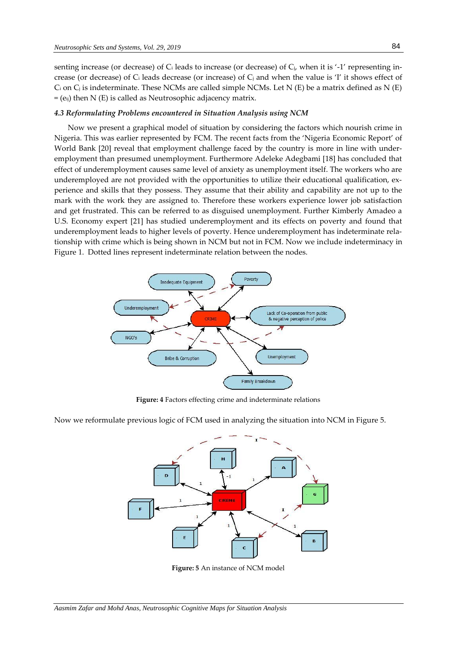senting increase (or decrease) of C<sub>i</sub> leads to increase (or decrease) of C<sub>i</sub>, when it is '-1' representing increase (or decrease) of  $C_i$  leads decrease (or increase) of  $C_j$  and when the value is 'I' it shows effect of C<sub>i</sub> on C<sub>j</sub> is indeterminate. These NCMs are called simple NCMs. Let N (E) be a matrix defined as N (E)  $=$  (e<sub>ij</sub>) then N (E) is called as Neutrosophic adjacency matrix.

#### *4.3 Reformulating Problems encountered in Situation Analysis using NCM*

Now we present a graphical model of situation by considering the factors which nourish crime in Nigeria. This was earlier represented by FCM. The recent facts from the 'Nigeria Economic Report' of World Bank [20] reveal that employment challenge faced by the country is more in line with underemployment than presumed unemployment. Furthermore Adeleke Adegbami [18] has concluded that effect of underemployment causes same level of anxiety as unemployment itself. The workers who are underemployed are not provided with the opportunities to utilize their educational qualification, experience and skills that they possess. They assume that their ability and capability are not up to the mark with the work they are assigned to. Therefore these workers experience lower job satisfaction and get frustrated. This can be referred to as disguised unemployment. Further Kimberly Amadeo a U.S. Economy expert [21] has studied underemployment and its effects on poverty and found that underemployment leads to higher levels of poverty. Hence underemployment has indeterminate relationship with crime which is being shown in NCM but not in FCM. Now we include indeterminacy in Figure 1. Dotted lines represent indeterminate relation between the nodes.



**Figure: 4** Factors effecting crime and indeterminate relations

Now we reformulate previous logic of FCM used in analyzing the situation into NCM in Figure 5.



**Figure: 5** An instance of NCM model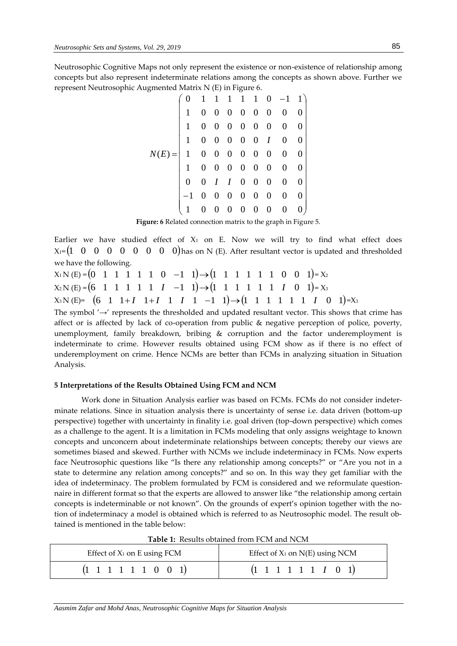Neutrosophic Cognitive Maps not only represent the existence or non-existence of relationship among concepts but also represent indeterminate relations among the concepts as shown above. Further we represent Neutrosophic Augmented Matrix N (E) in Figure 6.

| $N(E)= \left( \begin{array}{cccccccc} 0&1&1&1&1&1&0&-1&1\ 1&0&0&0&0&0&0&0&0\ 1&0&0&0&0&0&0&0&0\ 1&0&0&0&0&0&1&0&0\ 1&0&0&0&0&0&0&0&0\ 1&0&0&0&0&0&0&0&0\ 0&0&I&I&0&0&0&0&0\ 0&0&I&I&0&0&0&0&0\ 1&0&0&0&0&0&0&0&0\ 1&0&0&0&0&0&0&0&0\ \end{array} \right)$ |  |  |  |  |  |
|-----------------------------------------------------------------------------------------------------------------------------------------------------------------------------------------------------------------------------------------------------------|--|--|--|--|--|
|                                                                                                                                                                                                                                                           |  |  |  |  |  |

**Figure: 6** Related connection matrix to the graph in Figure 5.

Earlier we have studied effect of  $X_1$  on E. Now we will try to find what effect does  $X_1 = \begin{pmatrix} 1 & 0 & 0 & 0 & 0 & 0 & 0 & 0 \end{pmatrix}$  has on N (E). After resultant vector is updated and thresholded we have the following.

 $X_1 N(E) = (0 \quad 1 \quad 1 \quad 1 \quad 1 \quad 1 \quad 0 \quad -1 \quad 1) \rightarrow (1 \quad 1 \quad 1 \quad 1 \quad 1 \quad 1 \quad 0 \quad 0 \quad 1) = X_2$  $X_2 N(E) = (6 \quad 1 \quad 1 \quad 1 \quad 1 \quad 1 \quad 1 \quad 1 \quad -1 \quad 1) \rightarrow (1 \quad 1 \quad 1 \quad 1 \quad 1 \quad 1 \quad 1 \quad 1 \quad 0 \quad 1) = X_3$  $X_3 N(E) = (6 \quad 1 \quad 1+I \quad 1+I \quad 1 \quad I \quad 1 \quad -1 \quad 1) \rightarrow (1 \quad 1 \quad 1 \quad 1 \quad 1 \quad 1 \quad I \quad 0 \quad 1) = X_3$ 

The symbol '→' represents the thresholded and updated resultant vector. This shows that crime has affect or is affected by lack of co-operation from public & negative perception of police, poverty, unemployment, family breakdown, bribing & corruption and the factor underemployment is indeterminate to crime. However results obtained using FCM show as if there is no effect of underemployment on crime. Hence NCMs are better than FCMs in analyzing situation in Situation Analysis.

#### **5 Interpretations of the Results Obtained Using FCM and NCM**

Work done in Situation Analysis earlier was based on FCMs. FCMs do not consider indeterminate relations. Since in situation analysis there is uncertainty of sense i.e. data driven (bottom-up perspective) together with uncertainty in finality i.e. goal driven (top-down perspective) which comes as a challenge to the agent. It is a limitation in FCMs modeling that only assigns weightage to known concepts and unconcern about indeterminate relationships between concepts; thereby our views are sometimes biased and skewed. Further with NCMs we include indeterminacy in FCMs. Now experts face Neutrosophic questions like "Is there any relationship among concepts?" or "Are you not in a state to determine any relation among concepts?" and so on. In this way they get familiar with the idea of indeterminacy. The problem formulated by FCM is considered and we reformulate questionnaire in different format so that the experts are allowed to answer like "the relationship among certain concepts is indeterminable or not known". On the grounds of expert's opinion together with the notion of indeterminacy a model is obtained which is referred to as Neutrosophic model. The result obtained is mentioned in the table below:

| Table 1. Results obtained from Few and NCW |                                       |  |  |  |  |
|--------------------------------------------|---------------------------------------|--|--|--|--|
| Effect of $X_1$ on E using FCM             | Effect of $X_1$ on $N(E)$ using NCM   |  |  |  |  |
| $(1 \t1 \t1 \t1 \t1 \t0 \t0 \t1)$          | $(1 \t1 \t1 \t1 \t1 \t1 \t1 \t0 \t1)$ |  |  |  |  |

**Table 1:** Results obtained from FCM and NCM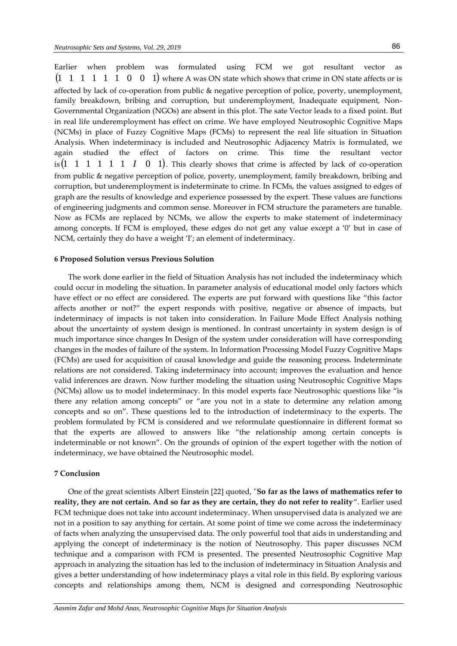Earlier when problem was formulated using FCM we got resultant vector as  $(1 \quad 1 \quad 1 \quad 1 \quad 1 \quad 0 \quad 0 \quad 1)$  where A was ON state which shows that crime in ON state affects or is affected by lack of co-operation from public & negative perception of police, poverty, unemployment, family breakdown, bribing and corruption, but underemployment, Inadequate equipment, Non-Governmental Organization (NGOs) are absent in this plot. The sate Vector leads to a fixed point. But in real life underemployment has effect on crime. We have employed Neutrosophic Cognitive Maps (NCMs) in place of Fuzzy Cognitive Maps (FCMs) to represent the real life situation in Situation Analysis. When indeterminacy is included and Neutrosophic Adjacency Matrix is formulated, we again studied the effect of factors on crime. This time the resultant vector is  $(1 \ 1 \ 1 \ 1 \ 1 \ 1 \ 1 \ 0 \ 1)$ . This clearly shows that crime is affected by lack of co-operation from public & negative perception of police, poverty, unemployment, family breakdown, bribing and corruption, but underemployment is indeterminate to crime. In FCMs, the values assigned to edges of graph are the results of knowledge and experience possessed by the expert. These values are functions of engineering judgments and common sense. Moreover in FCM structure the parameters are tunable. Now as FCMs are replaced by NCMs, we allow the experts to make statement of indeterminacy among concepts. If FCM is employed, these edges do not get any value except a '0' but in case of NCM, certainly they do have a weight 'I'; an element of indeterminacy.

#### **6 Proposed Solution versus Previous Solution**

The work done earlier in the field of Situation Analysis has not included the indeterminacy which could occur in modeling the situation. In parameter analysis of educational model only factors which have effect or no effect are considered. The experts are put forward with questions like "this factor affects another or not?" the expert responds with positive, negative or absence of impacts, but indeterminacy of impacts is not taken into consideration. In Failure Mode Effect Analysis nothing about the uncertainty of system design is mentioned. In contrast uncertainty in system design is of much importance since changes In Design of the system under consideration will have corresponding changes in the modes of failure of the system. In Information Processing Model Fuzzy Cognitive Maps (FCMs) are used for acquisition of causal knowledge and guide the reasoning process. Indeterminate relations are not considered. Taking indeterminacy into account; improves the evaluation and hence valid inferences are drawn. Now further modeling the situation using Neutrosophic Cognitive Maps (NCMs) allow us to model indeterminacy. In this model experts face Neutrosophic questions like "is there any relation among concepts" or "are you not in a state to determine any relation among concepts and so on". These questions led to the introduction of indeterminacy to the experts. The problem formulated by FCM is considered and we reformulate questionnaire in different format so that the experts are allowed to answers like "the relationship among certain concepts is indeterminable or not known". On the grounds of opinion of the expert together with the notion of indeterminacy, we have obtained the Neutrosophic model.

#### **7 Conclusion**

One of the great scientists Albert Einstein [22] quoted, "**So far as the laws of mathematics refer to reality, they are not certain. And so far as they are certain, they do not refer to reality**". Earlier used FCM technique does not take into account indeterminacy. When unsupervised data is analyzed we are not in a position to say anything for certain. At some point of time we come across the indeterminacy of facts when analyzing the unsupervised data. The only powerful tool that aids in understanding and applying the concept of indeterminacy is the notion of Neutrosophy. This paper discusses NCM technique and a comparison with FCM is presented. The presented Neutrosophic Cognitive Map approach in analyzing the situation has led to the inclusion of indeterminacy in Situation Analysis and gives a better understanding of how indeterminacy plays a vital role in this field. By exploring various concepts and relationships among them, NCM is designed and corresponding Neutrosophic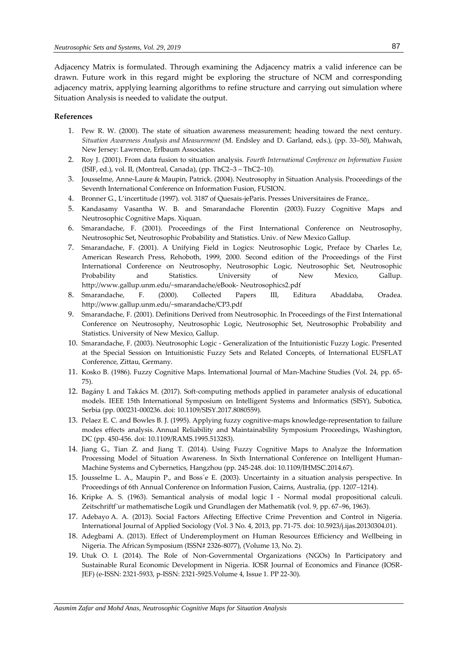Adjacency Matrix is formulated. Through examining the Adjacency matrix a valid inference can be drawn. Future work in this regard might be exploring the structure of NCM and corresponding adjacency matrix, applying learning algorithms to refine structure and carrying out simulation where Situation Analysis is needed to validate the output.

## **References**

- 1. Pew R. W. (2000). The state of situation awareness measurement; heading toward the next century. *Situation Awareness Analysis and Measurement* (M. Endsley and D. Garland, eds.), (pp. 33–50), Mahwah, New Jersey: Lawrence, Erlbaum Associates.
- 2. Roy J. (2001). From data fusion to situation analysis. *Fourth International Conference on Information Fusion*  (ISIF, ed.), vol. II, (Montreal, Canada), (pp. ThC2–3 – ThC2–10).
- 3. Jousselme, Anne-Laure & Maupin, Patrick. (2004). Neutrosophy in Situation Analysis. Proceedings of the Seventh International Conference on Information Fusion, FUSION.
- 4. Bronner G., L'incertitude (1997). vol. 3187 of Quesais-jeParis. Presses Universitaires de France,.
- 5. Kandasamy Vasantha W. B. and Smarandache Florentin (2003). Fuzzy Cognitive Maps and Neutrosophic Cognitive Maps. Xiquan.
- 6. Smarandache, F. (2001). Proceedings of the First International Conference on Neutrosophy, Neutrosophic Set, Neutrosophic Probability and Statistics. Univ. of New Mexico Gallup.
- 7. Smarandache, F. (2001). A Unifying Field in Logics: Neutrosophic Logic, Preface by Charles Le, American Research Press, Rehoboth, 1999, 2000. Second edition of the Proceedings of the First International Conference on Neutrosophy, Neutrosophic Logic, Neutrosophic Set, Neutrosophic Probability and Statistics. University of New Mexico, Gallup. [http://www.gallup.unm.edu/~smarandache/eBook-](http://www.gallup.unm.edu/~smarandache/eBook-%20Neutrosophics2.pdf) Neutrosophics2.pdf
- 8. Smarandache, F. (2000). Collected Papers III, Editura Abaddaba, Oradea. <http://www.gallup.unm.edu/~smarandache/CP3.pdf>
- 9. Smarandache, F. (2001). Definitions Derived from Neutrosophic. In Proceedings of the First International Conference on Neutrosophy, Neutrosophic Logic, Neutrosophic Set, Neutrosophic Probability and Statistics. University of New Mexico, Gallup.
- 10. Smarandache, F. (2003). Neutrosophic Logic Generalization of the Intuitionistic Fuzzy Logic. Presented at the Special Session on Intuitionistic Fuzzy Sets and Related Concepts, of International EUSFLAT Conference, Zittau, Germany.
- 11. Kosko B. (1986). Fuzzy Cognitive Maps. International Journal of Man-Machine Studies (Vol. 24, pp. 65- 75).
- 12. Bagány I. and Takács M. (2017). Soft-computing methods applied in parameter analysis of educational models. IEEE 15th International Symposium on Intelligent Systems and Informatics (SISY), Subotica, Serbia (pp. 000231-000236. doi: 10.1109/SISY.2017.8080559).
- 13. Pelaez E. C. and Bowles B. J. (1995). Applying fuzzy cognitive-maps knowledge-representation to failure modes effects analysis. Annual Reliability and Maintainability Symposium Proceedings, Washington, DC (pp. 450-456. doi: 10.1109/RAMS.1995.513283).
- 14. Jiang G., Tian Z. and Jiang T. (2014). Using Fuzzy Cognitive Maps to Analyze the Information Processing Model of Situation Awareness. In Sixth International Conference on Intelligent Human-Machine Systems and Cybernetics, Hangzhou (pp. 245-248. doi: 10.1109/IHMSC.2014.67).
- 15. Jousselme L. A., Maupin P., and Boss´e E. (2003). Uncertainty in a situation analysis perspective. In Proceedings of 6th Annual Conference on Information Fusion, Cairns, Australia, (pp. 1207–1214).
- 16. Kripke A. S. (1963). Semantical analysis of modal logic I Normal modal propositional calculi. Zeitschriftf ur mathematische Logik und Grundlagen der Mathematik (vol. 9, pp. 67–96, 1963).
- 17. Adebayo A. A. (2013). Social Factors Affecting Effective Crime Prevention and Control in Nigeria. International Journal of Applied Sociology (Vol. 3 No. 4, 2013, pp. 71-75. doi: 10.5923/j.ijas.20130304.01).
- 18. Adegbami A. (2013). Effect of Underemployment on Human Resources Efficiency and Wellbeing in Nigeria. The African Symposium (ISSN# 2326-8077), (Volume 13, No. 2).
- 19. Utuk O. I. (2014). The Role of Non-Governmental Organizations (NGOs) In Participatory and Sustainable Rural Economic Development in Nigeria. IOSR Journal of Economics and Finance (IOSR-JEF) (e-ISSN: 2321-5933, p-ISSN: 2321-5925.Volume 4, Issue 1. PP 22-30).